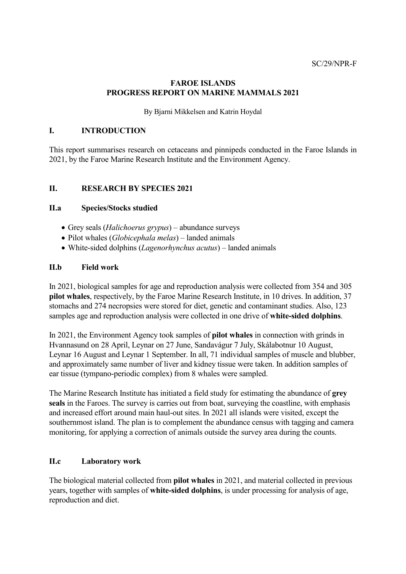### FAROE ISLANDS PROGRESS REPORT ON MARINE MAMMALS 2021

By Bjarni Mikkelsen and Katrin Hoydal

#### I. INTRODUCTION

This report summarises research on cetaceans and pinnipeds conducted in the Faroe Islands in 2021, by the Faroe Marine Research Institute and the Environment Agency.

## II. RESEARCH BY SPECIES 2021

### II.a Species/Stocks studied

- $\bullet$  Grey seals (*Halichoerus grypus*) abundance surveys
- $\bullet$  Pilot whales (*Globicephala melas*) landed animals
- White-sided dolphins (*Lagenorhynchus acutus*) landed animals

#### II.b Field work

In 2021, biological samples for age and reproduction analysis were collected from 354 and 305 pilot whales, respectively, by the Faroe Marine Research Institute, in 10 drives. In addition, 37 stomachs and 274 necropsies were stored for diet, genetic and contaminant studies. Also, 123 samples age and reproduction analysis were collected in one drive of white-sided dolphins.

In 2021, the Environment Agency took samples of pilot whales in connection with grinds in Hvannasund on 28 April, Leynar on 27 June, Sandavágur 7 July, Skálabotnur 10 August, Leynar 16 August and Leynar 1 September. In all, 71 individual samples of muscle and blubber, and approximately same number of liver and kidney tissue were taken. In addition samples of ear tissue (tympano-periodic complex) from 8 whales were sampled.

The Marine Research Institute has initiated a field study for estimating the abundance of grey seals in the Faroes. The survey is carries out from boat, surveying the coastline, with emphasis and increased effort around main haul-out sites. In 2021 all islands were visited, except the southernmost island. The plan is to complement the abundance census with tagging and camera monitoring, for applying a correction of animals outside the survey area during the counts.

#### II.c Laboratory work

The biological material collected from pilot whales in 2021, and material collected in previous years, together with samples of white-sided dolphins, is under processing for analysis of age, reproduction and diet.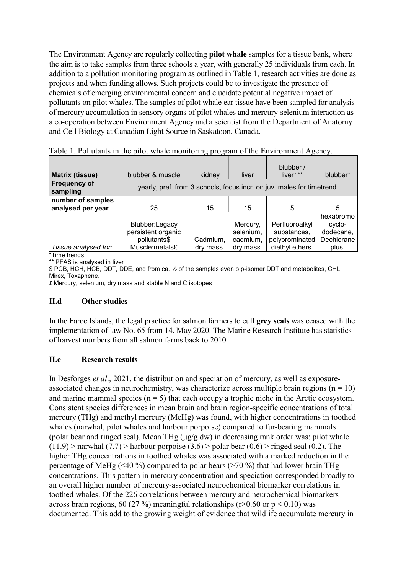The Environment Agency are regularly collecting pilot whale samples for a tissue bank, where the aim is to take samples from three schools a year, with generally 25 individuals from each. In addition to a pollution monitoring program as outlined in Table 1, research activities are done as projects and when funding allows. Such projects could be to investigate the presence of chemicals of emerging environmental concern and elucidate potential negative impact of pollutants on pilot whales. The samples of pilot whale ear tissue have been sampled for analysis of mercury accumulation in sensory organs of pilot whales and mercury-selenium interaction as a co-operation between Environment Agency and a scientist from the Department of Anatomy and Cell Biology at Canadian Light Source in Saskatoon, Canada.

| <b>Matrix (tissue)</b>          | blubber & muscle                                                      | kidnev   | liver     | blubber /<br>$liver***$ | blubber*   |
|---------------------------------|-----------------------------------------------------------------------|----------|-----------|-------------------------|------------|
| <b>Frequency of</b><br>sampling | yearly, pref. from 3 schools, focus incr. on juv. males for timetrend |          |           |                         |            |
| number of samples               |                                                                       |          |           |                         |            |
| analysed per year               | 25                                                                    | 15       | 15        | 5                       | 5          |
|                                 |                                                                       |          |           |                         | hexabromo  |
|                                 | Blubber:Legacy                                                        |          | Mercury,  | Perfluoroalkyl          | cyclo-     |
|                                 | persistent organic                                                    |          | selenium, | substances,             | dodecane,  |
|                                 | pollutants\$                                                          | Cadmium, | cadmium,  | polybrominated          | Dechlorane |
| Tissue analysed for:            | Muscle:metals£                                                        | drv mass | dry mass  | diethyl ethers          | plus       |

Table 1. Pollutants in the pilot whale monitoring program of the Environment Agency.

\*Time trends

\*\* PFAS is analysed in liver

\$ PCB, HCH, HCB, DDT, DDE, and from ca. ½ of the samples even o,p-isomer DDT and metabolites, CHL, Mirex, Toxaphene.

£ Mercury, selenium, dry mass and stable N and C isotopes

## II.d Other studies

In the Faroe Islands, the legal practice for salmon farmers to cull grey seals was ceased with the implementation of law No. 65 from 14. May 2020. The Marine Research Institute has statistics of harvest numbers from all salmon farms back to 2010.

## II.e Research results

In Desforges *et al.*, 2021, the distribution and speciation of mercury, as well as exposureassociated changes in neurochemistry, was characterize across multiple brain regions ( $n = 10$ ) and marine mammal species  $(n = 5)$  that each occupy a trophic niche in the Arctic ecosystem. Consistent species differences in mean brain and brain region-specific concentrations of total mercury (THg) and methyl mercury (MeHg) was found, with higher concentrations in toothed whales (narwhal, pilot whales and harbour porpoise) compared to fur-bearing mammals (polar bear and ringed seal). Mean THg (μg/g dw) in decreasing rank order was: pilot whale  $(11.9)$  > narwhal  $(7.7)$  > harbour porpoise  $(3.6)$  > polar bear  $(0.6)$  > ringed seal  $(0.2)$ . The higher THg concentrations in toothed whales was associated with a marked reduction in the percentage of MeHg (<40 %) compared to polar bears (>70 %) that had lower brain THg concentrations. This pattern in mercury concentration and speciation corresponded broadly to an overall higher number of mercury-associated neurochemical biomarker correlations in toothed whales. Of the 226 correlations between mercury and neurochemical biomarkers across brain regions, 60 (27 %) meaningful relationships (r>0.60 or  $p < 0.10$ ) was documented. This add to the growing weight of evidence that wildlife accumulate mercury in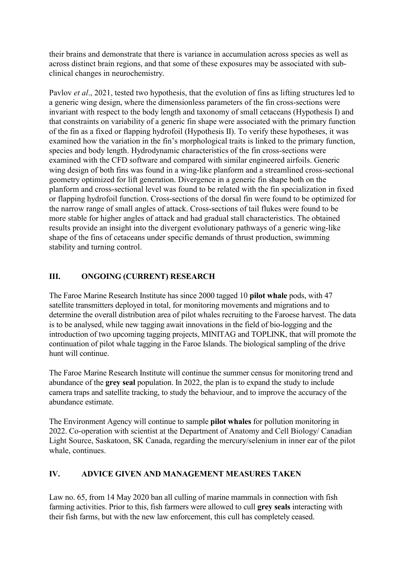their brains and demonstrate that there is variance in accumulation across species as well as across distinct brain regions, and that some of these exposures may be associated with subclinical changes in neurochemistry.

Pavlov *et al.*, 2021, tested two hypothesis, that the evolution of fins as lifting structures led to a generic wing design, where the dimensionless parameters of the fin cross-sections were invariant with respect to the body length and taxonomy of small cetaceans (Hypothesis I) and that constraints on variability of a generic fin shape were associated with the primary function of the fin as a fixed or flapping hydrofoil (Hypothesis II). To verify these hypotheses, it was examined how the variation in the fin's morphological traits is linked to the primary function, species and body length. Hydrodynamic characteristics of the fin cross-sections were examined with the CFD software and compared with similar engineered airfoils. Generic wing design of both fins was found in a wing-like planform and a streamlined cross-sectional geometry optimized for lift generation. Divergence in a generic fin shape both on the planform and cross-sectional level was found to be related with the fin specialization in fixed or flapping hydrofoil function. Cross-sections of the dorsal fin were found to be optimized for the narrow range of small angles of attack. Cross-sections of tail flukes were found to be more stable for higher angles of attack and had gradual stall characteristics. The obtained results provide an insight into the divergent evolutionary pathways of a generic wing-like shape of the fins of cetaceans under specific demands of thrust production, swimming stability and turning control.

# III. ONGOING (CURRENT) RESEARCH

The Faroe Marine Research Institute has since 2000 tagged 10 pilot whale pods, with 47 satellite transmitters deployed in total, for monitoring movements and migrations and to determine the overall distribution area of pilot whales recruiting to the Faroese harvest. The data is to be analysed, while new tagging await innovations in the field of bio-logging and the introduction of two upcoming tagging projects, MINITAG and TOPLINK, that will promote the continuation of pilot whale tagging in the Faroe Islands. The biological sampling of the drive hunt will continue.

The Faroe Marine Research Institute will continue the summer census for monitoring trend and abundance of the grey seal population. In 2022, the plan is to expand the study to include camera traps and satellite tracking, to study the behaviour, and to improve the accuracy of the abundance estimate.

The Environment Agency will continue to sample pilot whales for pollution monitoring in 2022. Co-operation with scientist at the Department of Anatomy and Cell Biology/ Canadian Light Source, Saskatoon, SK Canada, regarding the mercury/selenium in inner ear of the pilot whale, continues.

# IV. ADVICE GIVEN AND MANAGEMENT MEASURES TAKEN

Law no. 65, from 14 May 2020 ban all culling of marine mammals in connection with fish farming activities. Prior to this, fish farmers were allowed to cull grey seals interacting with their fish farms, but with the new law enforcement, this cull has completely ceased.